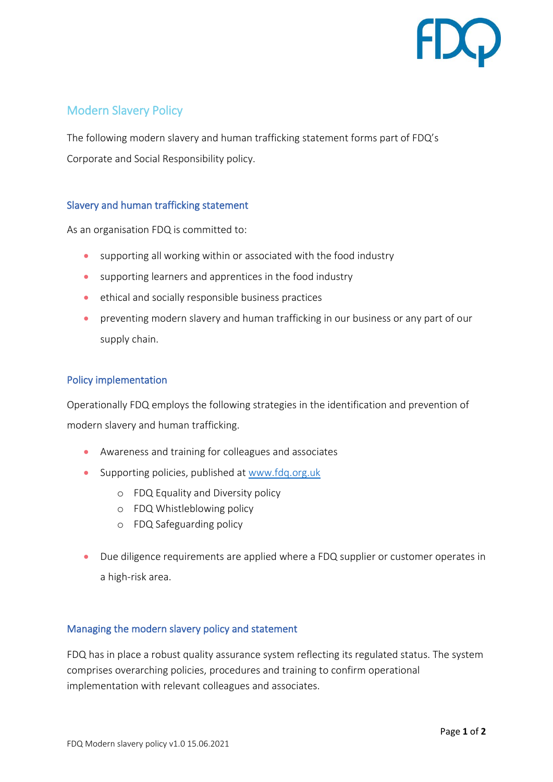

## Modern Slavery Policy

The following modern slavery and human trafficking statement forms part of FDQ's Corporate and Social Responsibility policy.

## Slavery and human trafficking statement

As an organisation FDQ is committed to:

- supporting all working within or associated with the food industry
- supporting learners and apprentices in the food industry
- ethical and socially responsible business practices
- preventing modern slavery and human trafficking in our business or any part of our supply chain.

## Policy implementation

Operationally FDQ employs the following strategies in the identification and prevention of modern slavery and human trafficking.

- Awareness and training for colleagues and associates
- Supporting policies, published at [www.fdq.org.uk](http://www.fdq.org.uk/)
	- o FDQ Equality and Diversity policy
	- o FDQ Whistleblowing policy
	- o FDQ Safeguarding policy
- Due diligence requirements are applied where a FDQ supplier or customer operates in a high-risk area.

## Managing the modern slavery policy and statement

FDQ has in place a robust quality assurance system reflecting its regulated status. The system comprises overarching policies, procedures and training to confirm operational implementation with relevant colleagues and associates.